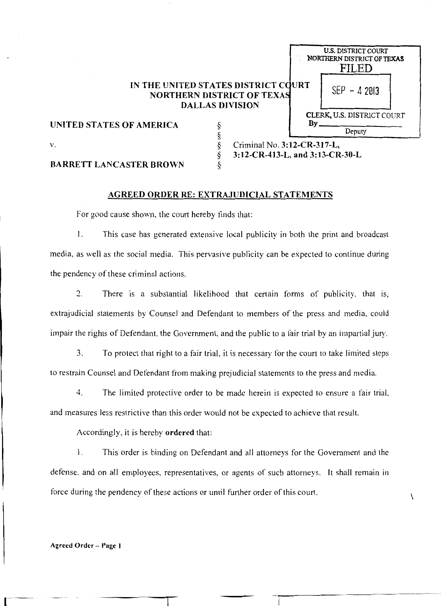#### IN THE UNITED STATES DISTRICT COURT NORTHERN DISTRICT OF TEXA DALLAS DIVISION

*§*  § §

## UNITED STATES OF AMERICA  $\S$

# FILED SEP - 4 2013 **CLERK, U.S. DISTRICT COURT<br>By** Deputy Criminal No.3: 12-CR-317-L,

U.S. DISTRICT COURT NORTIIERN DISTRICT OF TEXAS

 $\sqrt{2}$ 

### V.

#### BARRETT LANCASTER BROWN

# §

3:12-CR-413-L, and 3:13-CR-30-L

### AGREED ORDER RE: EXTRAJUDICIAL STATEMENTS

For good cause shown, the court hereby finds that:

I. This case has generated extensive local publicity in both the print and broadcast media, as well as the social media. This pervasive publicity can be expected to continue during the pendency of these criminal actions.

2. There is a substantial likelihood that certain forms of publicity, that is, extrajudicial statements by Counsel and Defendant to members of the press and media. could impair the rights of Defendant, the Government, and the public to a fair trial by an impartial jury.

3. To protect that right to a fair trial, it is necessary for the court to take limited steps to restrain Counsel and Defendant from making prejudicial statements to the press and media.

4. The limited protective order to be made herein is expected to ensure a fair triaL and measures less restrictive than this order would not be expected to achieve that result.

Accordingly, it is hereby ordered that:

I. This order is binding on Defendant and all attorneys for the Government and the defense. and on all employees, representatives, or agents of such attorneys. It shall remain in force during the pendency of these actions or until further order of this court.

#### Agreed Order- Page I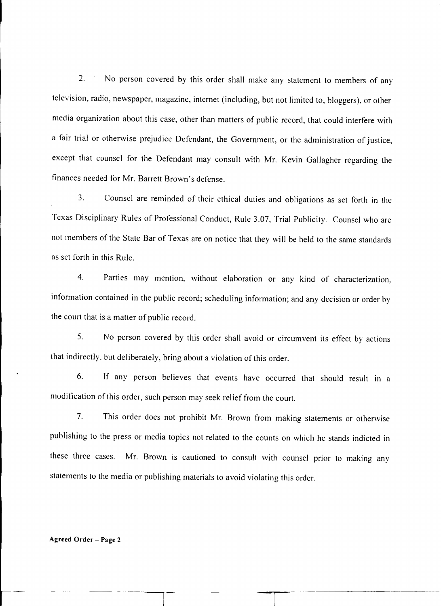2. No person covered by this order shall make any statement to members of any television, radio, newspaper, magazine, internet (including, but not limited to, bloggers), or other media organization about this case, other than matters of public record, that could interfere with a fair trial or otherwise prejudice Defendant, the Government, or the administration of justice, except that counsel for the Defendant may consult with Mr. Kevin Gallagher regarding the finances needed for Mr. Barrett Brown's defense.

3. Counsel are reminded of their ethical duties and obligations as set forth in the Texas Disciplinary Rules of Professional Conduct, Rule 3.07, Trial Publicity. Counsel who are not members of the State Bar of Texas are on notice that they will be held to the same standards as set forth in this Rule.

4. Parties may mention, without elaboration or any kind of characterization, information contained in the public record; scheduling information; and any decision or order by the court that is a matter of public record.

5. No person covered by this order shall avoid or circumvent its effect by actions that indirectly. but deliberately, bring about a violation of this order.

6. If any person believes that events have occurred that should result in a modification of this order, such person may seek relief from the court.

7. This order does not prohibit Mr. Brown from making statements or otherwise publishing to the press or media topics not related to the counts on which he stands indicted in these three cases. Mr. Brown is cautioned to consult with counsel prior to making any statements to the media or publishing materials to avoid violating this order.

#### Agreed Order- Page 2